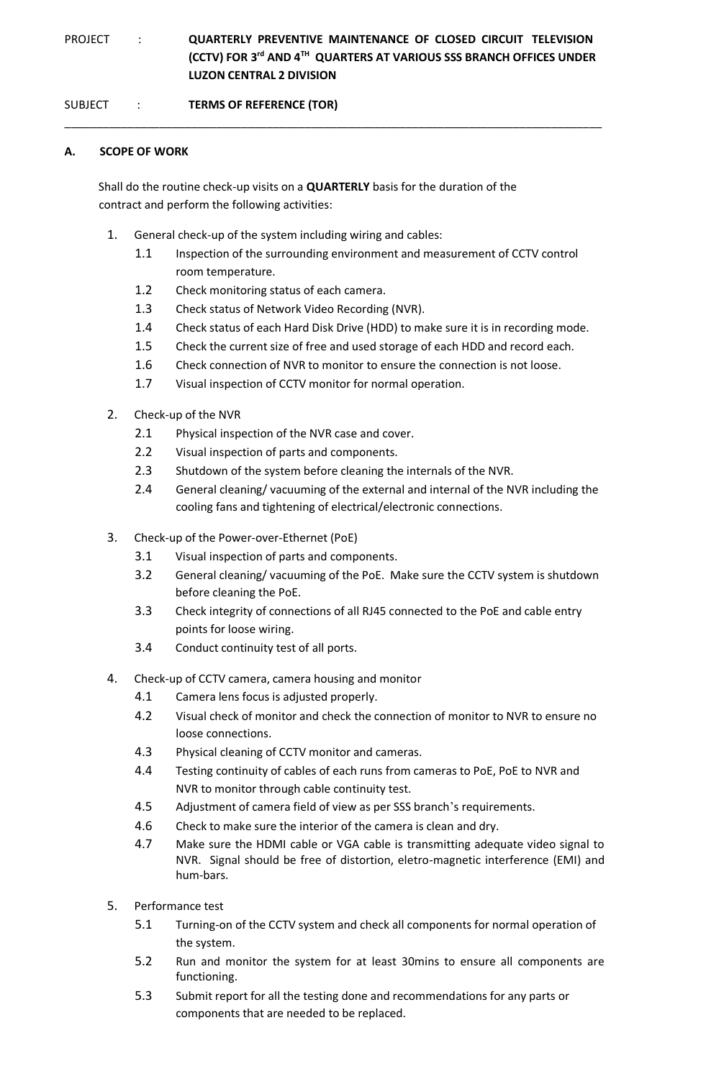# PROJECT : **QUARTERLY PREVENTIVE MAINTENANCE OF CLOSED CIRCUIT TELEVISION (CCTV) FOR 3rd AND 4TH QUARTERS AT VARIOUS SSS BRANCH OFFICES UNDER LUZON CENTRAL 2 DIVISION**

\_\_\_\_\_\_\_\_\_\_\_\_\_\_\_\_\_\_\_\_\_\_\_\_\_\_\_\_\_\_\_\_\_\_\_\_\_\_\_\_\_\_\_\_\_\_\_\_\_\_\_\_\_\_\_\_\_\_\_\_\_\_\_\_\_\_\_\_\_\_\_\_\_\_\_\_\_\_\_\_\_\_\_\_\_

SUBJECT : **TERMS OF REFERENCE (TOR)**

## **A. SCOPE OF WORK**

Shall do the routine check-up visits on a **QUARTERLY** basis for the duration of the contract and perform the following activities:

- 1. General check-up of the system including wiring and cables:
	- 1.1 Inspection of the surrounding environment and measurement of CCTV control room temperature.
	- 1.2 Check monitoring status of each camera.
	- 1.3 Check status of Network Video Recording (NVR).
	- 1.4 Check status of each Hard Disk Drive (HDD) to make sure it is in recording mode.
	- 1.5 Check the current size of free and used storage of each HDD and record each.
	- 1.6 Check connection of NVR to monitor to ensure the connection is not loose.
	- 1.7 Visual inspection of CCTV monitor for normal operation.
- 2. Check-up of the NVR
	- 2.1 Physical inspection of the NVR case and cover.
	- 2.2 Visual inspection of parts and components.
	- 2.3 Shutdown of the system before cleaning the internals of the NVR.
	- 2.4 General cleaning/ vacuuming of the external and internal of the NVR including the cooling fans and tightening of electrical/electronic connections.
- 3. Check-up of the Power-over-Ethernet (PoE)
	- 3.1 Visual inspection of parts and components.
	- 3.2 General cleaning/ vacuuming of the PoE. Make sure the CCTV system is shutdown before cleaning the PoE.
	- 3.3 Check integrity of connections of all RJ45 connected to the PoE and cable entry points for loose wiring.
	- 3.4 Conduct continuity test of all ports.
- 4. Check-up of CCTV camera, camera housing and monitor
	- 4.1 Camera lens focus is adjusted properly.
	- 4.2 Visual check of monitor and check the connection of monitor to NVR to ensure no loose connections.
	- 4.3 Physical cleaning of CCTV monitor and cameras.
	- 4.4 Testing continuity of cables of each runs from cameras to PoE, PoE to NVR and NVR to monitor through cable continuity test.
	- 4.5 Adjustment of camera field of view as per SSS branch's requirements.
	- 4.6 Check to make sure the interior of the camera is clean and dry.
	- 4.7 Make sure the HDMI cable or VGA cable is transmitting adequate video signal to NVR. Signal should be free of distortion, eletro-magnetic interference (EMI) and hum-bars.
- 5. Performance test
	- 5.1 Turning-on of the CCTV system and check all components for normal operation of the system.
	- 5.2 Run and monitor the system for at least 30mins to ensure all components are functioning.
	- 5.3 Submit report for all the testing done and recommendations for any parts or components that are needed to be replaced.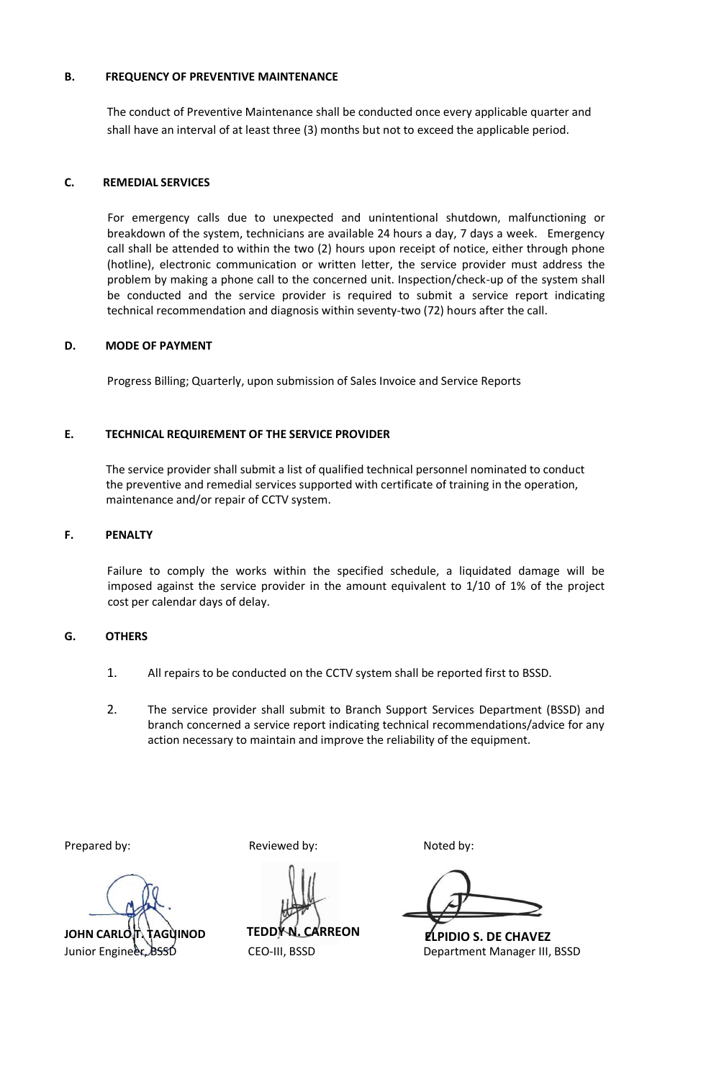## **B. FREQUENCY OF PREVENTIVE MAINTENANCE**

The conduct of Preventive Maintenance shall be conducted once every applicable quarter and shall have an interval of at least three (3) months but not to exceed the applicable period.

## **C. REMEDIAL SERVICES**

 For emergency calls due to unexpected and unintentional shutdown, malfunctioning or breakdown of the system, technicians are available 24 hours a day, 7 days a week. Emergency call shall be attended to within the two (2) hours upon receipt of notice, either through phone (hotline), electronic communication or written letter, the service provider must address the problem by making a phone call to the concerned unit. Inspection/check-up of the system shall be conducted and the service provider is required to submit a service report indicating technical recommendation and diagnosis within seventy-two (72) hours after the call.

### **D. MODE OF PAYMENT**

Progress Billing; Quarterly, upon submission of Sales Invoice and Service Reports

## **E. TECHNICAL REQUIREMENT OF THE SERVICE PROVIDER**

The service provider shall submit a list of qualified technical personnel nominated to conduct the preventive and remedial services supported with certificate of training in the operation, maintenance and/or repair of CCTV system.

#### **F. PENALTY**

Failure to comply the works within the specified schedule, a liquidated damage will be imposed against the service provider in the amount equivalent to 1/10 of 1% of the project cost per calendar days of delay.

#### **G. OTHERS**

- 1. All repairs to be conducted on the CCTV system shall be reported first to BSSD.
- 2. The service provider shall submit to Branch Support Services Department (BSSD) and branch concerned a service report indicating technical recommendations/advice for any action necessary to maintain and improve the reliability of the equipment.

**JOHN CARLOT, TAGUINOD** 

Prepared by: Reviewed by: Reviewed by: Noted by:

Junior Engineer, BSSD CEO-III, BSSD Department Manager III, BSSD **TEDDY N. CARREON ELPIDIO S. DE CHAVEZ**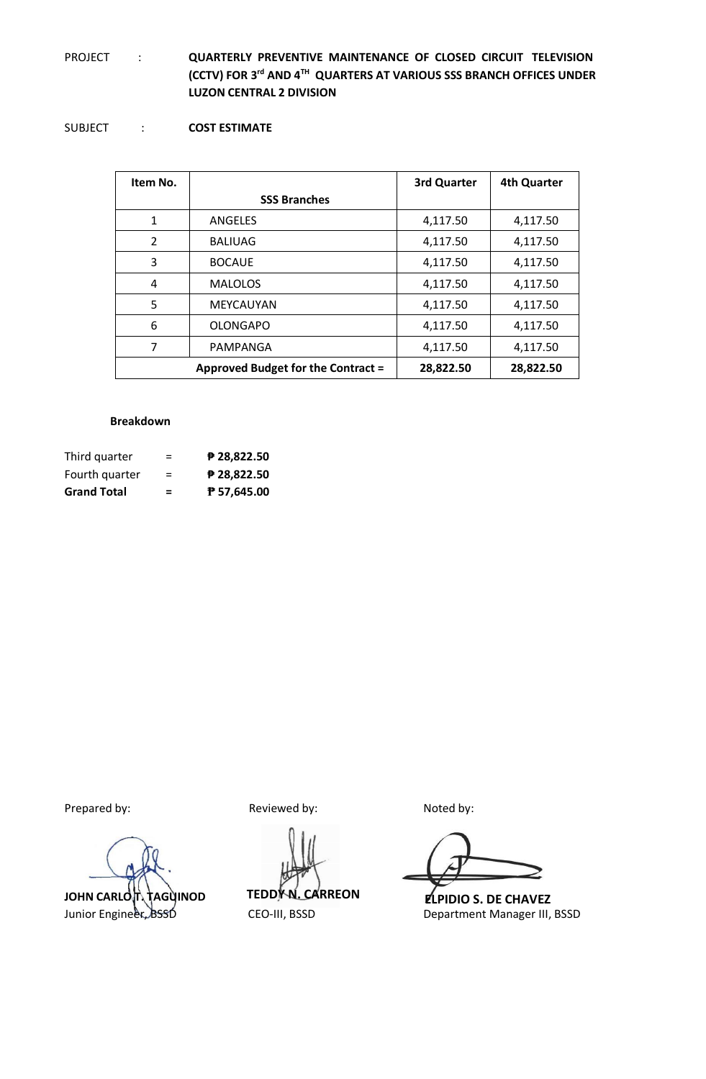## PROJECT : **QUARTERLY PREVENTIVE MAINTENANCE OF CLOSED CIRCUIT TELEVISION (CCTV) FOR 3rd AND 4TH QUARTERS AT VARIOUS SSS BRANCH OFFICES UNDER LUZON CENTRAL 2 DIVISION**

## SUBJECT : **COST ESTIMATE**

| Item No.       |                                    | 3rd Quarter | <b>4th Quarter</b> |
|----------------|------------------------------------|-------------|--------------------|
|                | <b>SSS Branches</b>                |             |                    |
| 1              | ANGELES                            | 4,117.50    | 4,117.50           |
| $\overline{2}$ | <b>BALIUAG</b>                     | 4,117.50    | 4,117.50           |
| 3              | <b>BOCAUE</b>                      | 4,117.50    | 4,117.50           |
| $\overline{4}$ | <b>MALOLOS</b>                     | 4,117.50    | 4,117.50           |
| 5              | <b>MEYCAUYAN</b>                   | 4,117.50    | 4,117.50           |
| 6              | <b>OLONGAPO</b>                    | 4,117.50    | 4,117.50           |
| 7              | PAMPANGA                           | 4,117.50    | 4,117.50           |
|                | Approved Budget for the Contract = | 28,822.50   | 28,822.50          |

#### **Breakdown**

| Third quarter      | $=$ | $P$ 28,822.50 |
|--------------------|-----|---------------|
| Fourth quarter     | $=$ | $P$ 28,822.50 |
| <b>Grand Total</b> | =   | ₱ 57,645.00   |

JOHN CARLOT TAGUINOD

Prepared by: Reviewed by: Reviewed by: Noted by:

Junior Engineer, BSSD CEO-III, BSSD Department Manager III, BSSD **TEDDY N. CARREON ELPIDIO S. DE CHAVEZ**